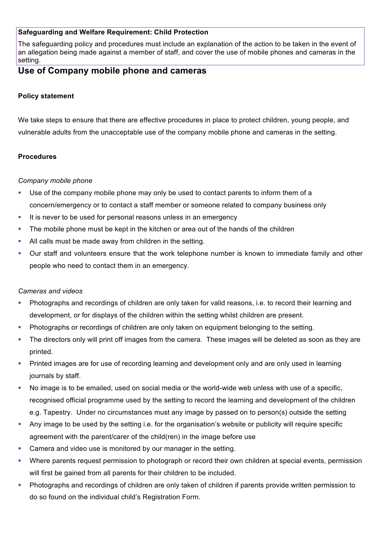## **Safeguarding and Welfare Requirement: Child Protection**

The safeguarding policy and procedures must include an explanation of the action to be taken in the event of an allegation being made against a member of staff, and cover the use of mobile phones and cameras in the setting.

# **Use of Company mobile phone and cameras**

## **Policy statement**

We take steps to ensure that there are effective procedures in place to protect children, young people, and vulnerable adults from the unacceptable use of the company mobile phone and cameras in the setting.

## **Procedures**

#### *Company mobile phone*

- Use of the company mobile phone may only be used to contact parents to inform them of a concern/emergency or to contact a staff member or someone related to company business only
- **EXTERN** It is never to be used for personal reasons unless in an emergency
- The mobile phone must be kept in the kitchen or area out of the hands of the children
- All calls must be made away from children in the setting.
- Our staff and volunteers ensure that the work telephone number is known to immediate family and other people who need to contact them in an emergency.

#### *Cameras and videos*

- Photographs and recordings of children are only taken for valid reasons, i.e. to record their learning and development, or for displays of the children within the setting whilst children are present.
- Photographs or recordings of children are only taken on equipment belonging to the setting.
- The directors only will print off images from the camera. These images will be deleted as soon as they are printed.
- Printed images are for use of recording learning and development only and are only used in learning journals by staff.
- No image is to be emailed, used on social media or the world-wide web unless with use of a specific, recognised official programme used by the setting to record the learning and development of the children e.g. Tapestry. Under no circumstances must any image by passed on to person(s) outside the setting
- § Any image to be used by the setting i.e. for the organisation's website or publicity will require specific agreement with the parent/carer of the child(ren) in the image before use
- Camera and video use is monitored by our manager in the setting.
- Where parents request permission to photograph or record their own children at special events, permission will first be gained from all parents for their children to be included.
- § Photographs and recordings of children are only taken of children if parents provide written permission to do so found on the individual child's Registration Form.